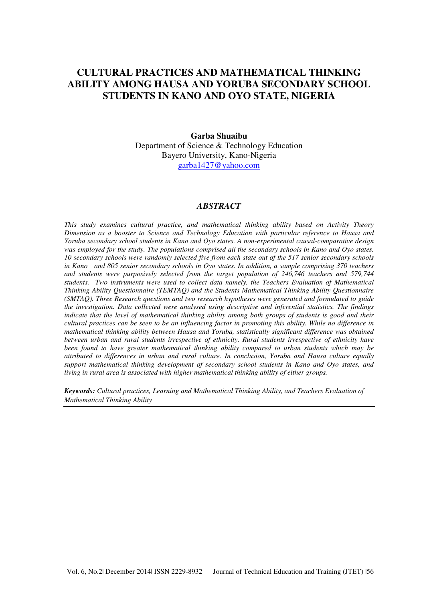# **CULTURAL PRACTICES AND MATHEMATICAL THINKING ABILITY AMONG HAUSA AND YORUBA SECONDARY SCHOOL STUDENTS IN KANO AND OYO STATE, NIGERIA**

# **Garba Shuaibu**  Department of Science & Technology Education Bayero University, Kano-Nigeria garba1427@yahoo.com

#### *ABSTRACT*

*This study examines cultural practice, and mathematical thinking ability based on Activity Theory Dimension as a booster to Science and Technology Education with particular reference to Hausa and Yoruba secondary school students in Kano and Oyo states. A non-experimental causal-comparative design was employed for the study. The populations comprised all the secondary schools in Kano and Oyo states. 10 secondary schools were randomly selected five from each state out of the 517 senior secondary schools in Kano and 805 senior secondary schools in Oyo states. In addition, a sample comprising 370 teachers and students were purposively selected from the target population of 246,746 teachers and 579,744 students. Two instruments were used to collect data namely, the Teachers Evaluation of Mathematical Thinking Ability Questionnaire (TEMTAQ) and the Students Mathematical Thinking Ability Questionnaire (SMTAQ). Three Research questions and two research hypotheses were generated and formulated to guide the investigation. Data collected were analysed using descriptive and inferential statistics. The findings indicate that the level of mathematical thinking ability among both groups of students is good and their cultural practices can be seen to be an influencing factor in promoting this ability. While no difference in mathematical thinking ability between Hausa and Yoruba, statistically significant difference was obtained between urban and rural students irrespective of ethnicity. Rural students irrespective of ethnicity have been found to have greater mathematical thinking ability compared to urban students which may be attributed to differences in urban and rural culture. In conclusion, Yoruba and Hausa culture equally support mathematical thinking development of secondary school students in Kano and Oyo states, and living in rural area is associated with higher mathematical thinking ability of either groups.* 

*Keywords: Cultural practices, Learning and Mathematical Thinking Ability, and Teachers Evaluation of Mathematical Thinking Ability*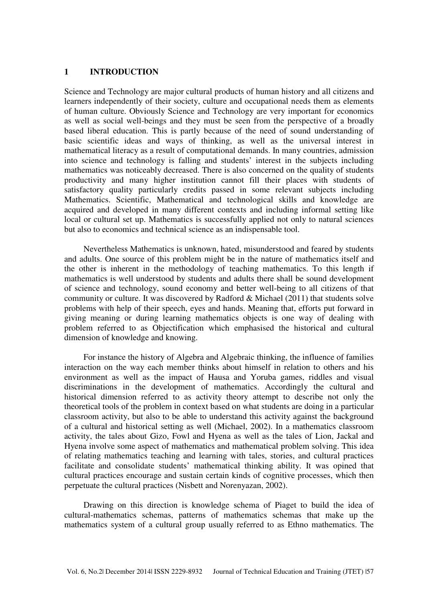#### **1 INTRODUCTION**

Science and Technology are major cultural products of human history and all citizens and learners independently of their society, culture and occupational needs them as elements of human culture. Obviously Science and Technology are very important for economics as well as social well-beings and they must be seen from the perspective of a broadly based liberal education. This is partly because of the need of sound understanding of basic scientific ideas and ways of thinking, as well as the universal interest in mathematical literacy as a result of computational demands. In many countries, admission into science and technology is falling and students' interest in the subjects including mathematics was noticeably decreased. There is also concerned on the quality of students productivity and many higher institution cannot fill their places with students of satisfactory quality particularly credits passed in some relevant subjects including Mathematics. Scientific, Mathematical and technological skills and knowledge are acquired and developed in many different contexts and including informal setting like local or cultural set up. Mathematics is successfully applied not only to natural sciences but also to economics and technical science as an indispensable tool.

Nevertheless Mathematics is unknown, hated, misunderstood and feared by students and adults. One source of this problem might be in the nature of mathematics itself and the other is inherent in the methodology of teaching mathematics. To this length if mathematics is well understood by students and adults there shall be sound development of science and technology, sound economy and better well-being to all citizens of that community or culture. It was discovered by Radford & Michael (2011) that students solve problems with help of their speech, eyes and hands. Meaning that, efforts put forward in giving meaning or during learning mathematics objects is one way of dealing with problem referred to as Objectification which emphasised the historical and cultural dimension of knowledge and knowing.

For instance the history of Algebra and Algebraic thinking, the influence of families interaction on the way each member thinks about himself in relation to others and his environment as well as the impact of Hausa and Yoruba games, riddles and visual discriminations in the development of mathematics. Accordingly the cultural and historical dimension referred to as activity theory attempt to describe not only the theoretical tools of the problem in context based on what students are doing in a particular classroom activity, but also to be able to understand this activity against the background of a cultural and historical setting as well (Michael, 2002). In a mathematics classroom activity, the tales about Gizo, Fowl and Hyena as well as the tales of Lion, Jackal and Hyena involve some aspect of mathematics and mathematical problem solving. This idea of relating mathematics teaching and learning with tales, stories, and cultural practices facilitate and consolidate students' mathematical thinking ability. It was opined that cultural practices encourage and sustain certain kinds of cognitive processes, which then perpetuate the cultural practices (Nisbett and Norenyazan, 2002).

Drawing on this direction is knowledge schema of Piaget to build the idea of cultural-mathematics schemas, patterns of mathematics schemas that make up the mathematics system of a cultural group usually referred to as Ethno mathematics. The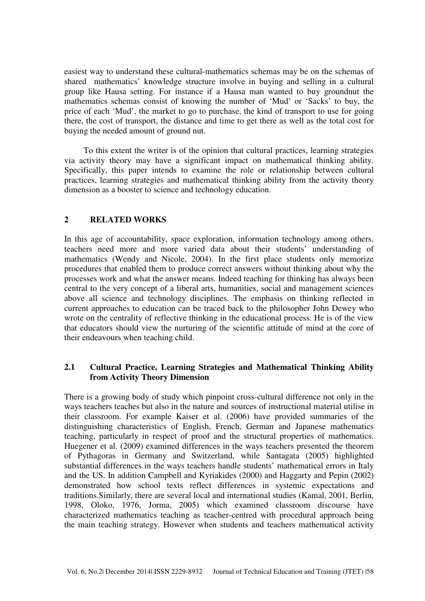easiest way to understand these cultural-mathematics schemas may be on the schemas of shared mathematics' knowledge structure involve in buying and selling in a cultural group like Hausa setting. For instance if a Hausa man wanted to buy groundnut the mathematics schemas consist of knowing the number of 'Mud' or 'Sacks' to buy, the price of each 'Mud', the market to go to purchase, the kind of transport to use for going there, the cost of transport, the distance and time to get there as well as the total cost for buying the needed amount of ground nut.

To this extent the writer is of the opinion that cultural practices, learning strategies via activity theory may have a significant impact on mathematical thinking ability. Specifically, this paper intends to examine the role or relationship between cultural practices, learning strategies and mathematical thinking ability from the activity theory dimension as a booster to science and technology education.

# **2 RELATED WORKS**

In this age of accountability, space exploration, information technology among others, teachers need more and more varied data about their students' understanding of mathematics (Wendy and Nicole, 2004). In the first place students only memorize procedures that enabled them to produce correct answers without thinking about why the processes work and what the answer means. Indeed teaching for thinking has always been central to the very concept of a liberal arts, humanities, social and management sciences above all science and technology disciplines. The emphasis on thinking reflected in current approaches to education can be traced back to the philosopher John Dewey who wrote on the centrality of reflective thinking in the educational process. He is of the view that educators should view the nurturing of the scientific attitude of mind at the core of their endeavours when teaching child.

# **2.1 Cultural Practice, Learning Strategies and Mathematical Thinking Ability from Activity Theory Dimension**

There is a growing body of study which pinpoint cross-cultural difference not only in the ways teachers teaches but also in the nature and sources of instructional material utilise in their classroom. For example Kaiser et al. (2006) have provided summaries of the distinguishing characteristics of English, French, German and Japanese mathematics teaching, particularly in respect of proof and the structural properties of mathematics. Huegener et al. (2009) examined differences in the ways teachers presented the theorem of Pythagoras in Germany and Switzerland, while Santagata (2005) highlighted substantial differences in the ways teachers handle students' mathematical errors in Italy and the US. In addition Campbell and Kyriakides (2000) and Haggarty and Pepin (2002) demonstrated how school texts reflect differences in systemic expectations and traditions.Similarly, there are several local and international studies (Kamal, 2001, Berlin, 1998, Oloko, 1976, Jorma, 2005) which examined classroom discourse have characterized mathematics teaching as teacher-centred with procedural approach being the main teaching strategy. However when students and teachers mathematical activity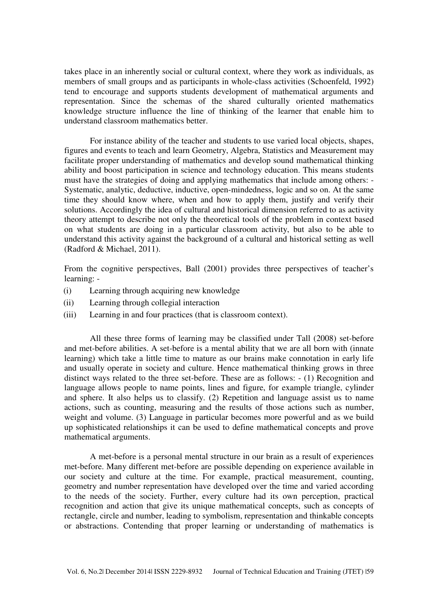takes place in an inherently social or cultural context, where they work as individuals, as members of small groups and as participants in whole-class activities (Schoenfeld, 1992) tend to encourage and supports students development of mathematical arguments and representation. Since the schemas of the shared culturally oriented mathematics knowledge structure influence the line of thinking of the learner that enable him to understand classroom mathematics better.

For instance ability of the teacher and students to use varied local objects, shapes, figures and events to teach and learn Geometry, Algebra, Statistics and Measurement may facilitate proper understanding of mathematics and develop sound mathematical thinking ability and boost participation in science and technology education. This means students must have the strategies of doing and applying mathematics that include among others: - Systematic, analytic, deductive, inductive, open-mindedness, logic and so on. At the same time they should know where, when and how to apply them, justify and verify their solutions. Accordingly the idea of cultural and historical dimension referred to as activity theory attempt to describe not only the theoretical tools of the problem in context based on what students are doing in a particular classroom activity, but also to be able to understand this activity against the background of a cultural and historical setting as well (Radford & Michael, 2011).

From the cognitive perspectives, Ball (2001) provides three perspectives of teacher's learning: -

- (i) Learning through acquiring new knowledge
- (ii) Learning through collegial interaction
- (iii) Learning in and four practices (that is classroom context).

All these three forms of learning may be classified under Tall (2008) set-before and met-before abilities. A set-before is a mental ability that we are all born with (innate learning) which take a little time to mature as our brains make connotation in early life and usually operate in society and culture. Hence mathematical thinking grows in three distinct ways related to the three set-before. These are as follows: - (1) Recognition and language allows people to name points, lines and figure, for example triangle, cylinder and sphere. It also helps us to classify. (2) Repetition and language assist us to name actions, such as counting, measuring and the results of those actions such as number, weight and volume. (3) Language in particular becomes more powerful and as we build up sophisticated relationships it can be used to define mathematical concepts and prove mathematical arguments.

A met-before is a personal mental structure in our brain as a result of experiences met-before. Many different met-before are possible depending on experience available in our society and culture at the time. For example, practical measurement, counting, geometry and number representation have developed over the time and varied according to the needs of the society. Further, every culture had its own perception, practical recognition and action that give its unique mathematical concepts, such as concepts of rectangle, circle and number, leading to symbolism, representation and thinkable concepts or abstractions. Contending that proper learning or understanding of mathematics is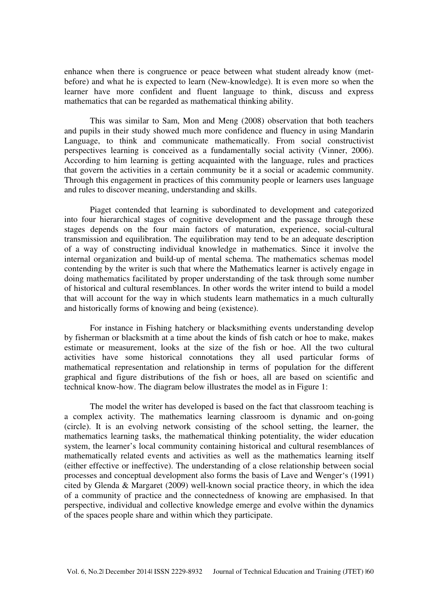enhance when there is congruence or peace between what student already know (metbefore) and what he is expected to learn (New-knowledge). It is even more so when the learner have more confident and fluent language to think, discuss and express mathematics that can be regarded as mathematical thinking ability.

This was similar to Sam, Mon and Meng (2008) observation that both teachers and pupils in their study showed much more confidence and fluency in using Mandarin Language, to think and communicate mathematically. From social constructivist perspectives learning is conceived as a fundamentally social activity (Vinner, 2006). According to him learning is getting acquainted with the language, rules and practices that govern the activities in a certain community be it a social or academic community. Through this engagement in practices of this community people or learners uses language and rules to discover meaning, understanding and skills.

Piaget contended that learning is subordinated to development and categorized into four hierarchical stages of cognitive development and the passage through these stages depends on the four main factors of maturation, experience, social-cultural transmission and equilibration. The equilibration may tend to be an adequate description of a way of constructing individual knowledge in mathematics. Since it involve the internal organization and build-up of mental schema. The mathematics schemas model contending by the writer is such that where the Mathematics learner is actively engage in doing mathematics facilitated by proper understanding of the task through some number of historical and cultural resemblances. In other words the writer intend to build a model that will account for the way in which students learn mathematics in a much culturally and historically forms of knowing and being (existence).

For instance in Fishing hatchery or blacksmithing events understanding develop by fisherman or blacksmith at a time about the kinds of fish catch or hoe to make, makes estimate or measurement, looks at the size of the fish or hoe. All the two cultural activities have some historical connotations they all used particular forms of mathematical representation and relationship in terms of population for the different graphical and figure distributions of the fish or hoes, all are based on scientific and technical know-how. The diagram below illustrates the model as in Figure 1:

The model the writer has developed is based on the fact that classroom teaching is a complex activity. The mathematics learning classroom is dynamic and on-going (circle). It is an evolving network consisting of the school setting, the learner, the mathematics learning tasks, the mathematical thinking potentiality, the wider education system, the learner's local community containing historical and cultural resemblances of mathematically related events and activities as well as the mathematics learning itself (either effective or ineffective). The understanding of a close relationship between social processes and conceptual development also forms the basis of Lave and Wenger's (1991) cited by Glenda & Margaret (2009) well-known social practice theory, in which the idea of a community of practice and the connectedness of knowing are emphasised. In that perspective, individual and collective knowledge emerge and evolve within the dynamics of the spaces people share and within which they participate.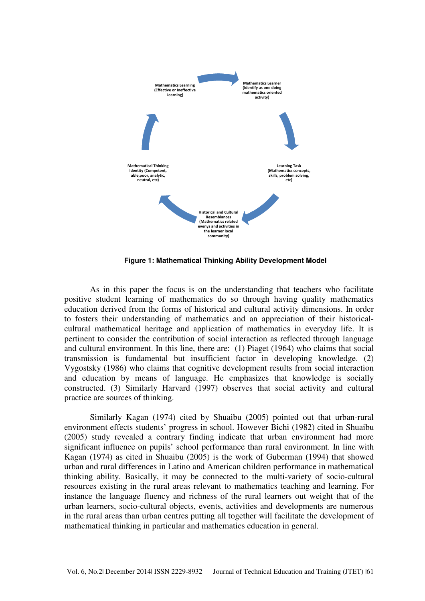

**Figure 1: Mathematical Thinking Ability Development Model** 

As in this paper the focus is on the understanding that teachers who facilitate positive student learning of mathematics do so through having quality mathematics education derived from the forms of historical and cultural activity dimensions. In order to fosters their understanding of mathematics and an appreciation of their historicalcultural mathematical heritage and application of mathematics in everyday life. It is pertinent to consider the contribution of social interaction as reflected through language and cultural environment. In this line, there are: (1) Piaget (1964) who claims that social transmission is fundamental but insufficient factor in developing knowledge. (2) Vygostsky (1986) who claims that cognitive development results from social interaction and education by means of language. He emphasizes that knowledge is socially constructed. (3) Similarly Harvard (1997) observes that social activity and cultural practice are sources of thinking.

Similarly Kagan (1974) cited by Shuaibu (2005) pointed out that urban-rural environment effects students' progress in school. However Bichi (1982) cited in Shuaibu (2005) study revealed a contrary finding indicate that urban environment had more significant influence on pupils' school performance than rural environment. In line with Kagan (1974) as cited in Shuaibu (2005) is the work of Guberman (1994) that showed urban and rural differences in Latino and American children performance in mathematical thinking ability. Basically, it may be connected to the multi-variety of socio-cultural resources existing in the rural areas relevant to mathematics teaching and learning. For instance the language fluency and richness of the rural learners out weight that of the urban learners, socio-cultural objects, events, activities and developments are numerous in the rural areas than urban centres putting all together will facilitate the development of mathematical thinking in particular and mathematics education in general.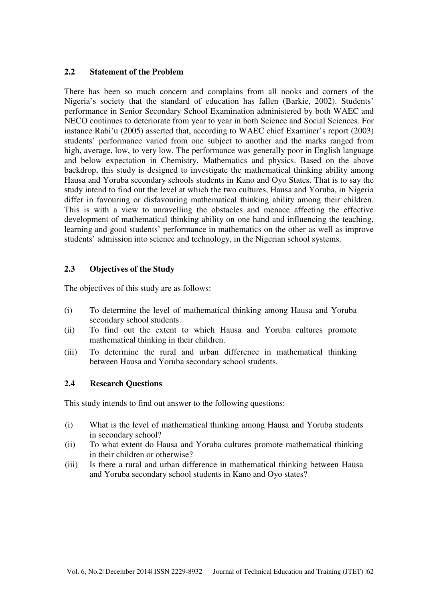# **2.2 Statement of the Problem**

There has been so much concern and complains from all nooks and corners of the Nigeria's society that the standard of education has fallen (Barkie, 2002). Students' performance in Senior Secondary School Examination administered by both WAEC and NECO continues to deteriorate from year to year in both Science and Social Sciences. For instance Rabi'u (2005) asserted that, according to WAEC chief Examiner's report (2003) students' performance varied from one subject to another and the marks ranged from high, average, low, to very low. The performance was generally poor in English language and below expectation in Chemistry, Mathematics and physics. Based on the above backdrop, this study is designed to investigate the mathematical thinking ability among Hausa and Yoruba secondary schools students in Kano and Oyo States. That is to say the study intend to find out the level at which the two cultures, Hausa and Yoruba, in Nigeria differ in favouring or disfavouring mathematical thinking ability among their children. This is with a view to unravelling the obstacles and menace affecting the effective development of mathematical thinking ability on one hand and influencing the teaching, learning and good students' performance in mathematics on the other as well as improve students' admission into science and technology, in the Nigerian school systems.

## **2.3 Objectives of the Study**

The objectives of this study are as follows:

- (i) To determine the level of mathematical thinking among Hausa and Yoruba secondary school students.
- (ii) To find out the extent to which Hausa and Yoruba cultures promote mathematical thinking in their children.
- (iii) To determine the rural and urban difference in mathematical thinking between Hausa and Yoruba secondary school students.

## **2.4 Research Questions**

This study intends to find out answer to the following questions:

- (i) What is the level of mathematical thinking among Hausa and Yoruba students in secondary school?
- (ii) To what extent do Hausa and Yoruba cultures promote mathematical thinking in their children or otherwise?
- (iii) Is there a rural and urban difference in mathematical thinking between Hausa and Yoruba secondary school students in Kano and Oyo states?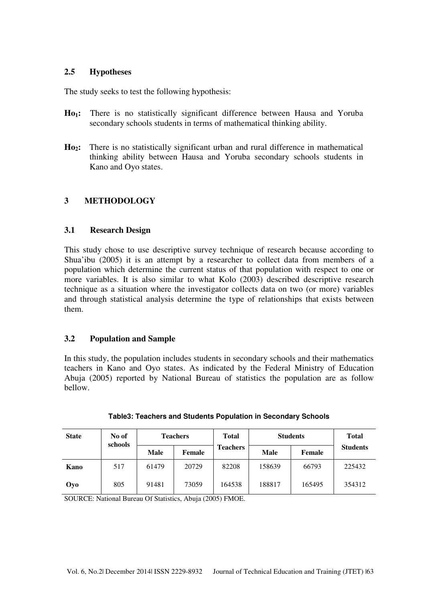# **2.5 Hypotheses**

The study seeks to test the following hypothesis:

- **Ho1:** There is no statistically significant difference between Hausa and Yoruba secondary schools students in terms of mathematical thinking ability.
- **Ho2:** There is no statistically significant urban and rural difference in mathematical thinking ability between Hausa and Yoruba secondary schools students in Kano and Oyo states.

# **3 METHODOLOGY**

## **3.1 Research Design**

This study chose to use descriptive survey technique of research because according to Shua'ibu (2005) it is an attempt by a researcher to collect data from members of a population which determine the current status of that population with respect to one or more variables. It is also similar to what Kolo (2003) described descriptive research technique as a situation where the investigator collects data on two (or more) variables and through statistical analysis determine the type of relationships that exists between them.

## **3.2 Population and Sample**

In this study, the population includes students in secondary schools and their mathematics teachers in Kano and Oyo states. As indicated by the Federal Ministry of Education Abuja (2005) reported by National Bureau of statistics the population are as follow bellow.

| <b>State</b> | No of<br>schools | <b>Teachers</b> |        | <b>Total</b>    | <b>Students</b> | <b>Total</b> |                 |  |
|--------------|------------------|-----------------|--------|-----------------|-----------------|--------------|-----------------|--|
|              |                  | Male            | Female | <b>Teachers</b> | Male            | Female       | <b>Students</b> |  |
| Kano         | 517              | 61479           | 20729  | 82208           | 158639          | 66793        | 225432          |  |
| Oyo          | 805              | 91481           | 73059  | 164538          | 188817          | 165495       | 354312          |  |

SOURCE: National Bureau Of Statistics, Abuja (2005) FMOE.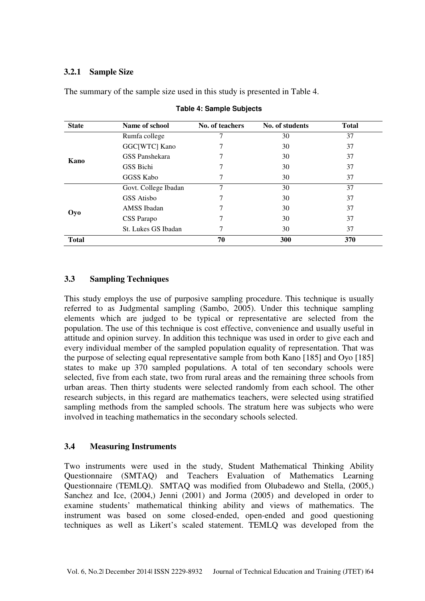# **3.2.1 Sample Size**

The summary of the sample size used in this study is presented in Table 4.

| <b>State</b> | Name of school       | No. of teachers | No. of students | <b>Total</b> |
|--------------|----------------------|-----------------|-----------------|--------------|
|              | Rumfa college        |                 | 30              | 37           |
|              | GGC[WTC] Kano        |                 | 30              | 37           |
| Kano         | GSS Panshekara       |                 | 30              | 37           |
|              | GSS Bichi            |                 | 30              | 37           |
|              | <b>GGSS Kabo</b>     | 7               | 30              | 37           |
|              | Govt. College Ibadan | 7               | 30              | 37           |
|              | GSS Atisbo           |                 | 30              | 37           |
| Oyo          | AMSS Ibadan          |                 | 30              | 37           |
|              | CSS Parapo           | 7               | 30              | 37           |
|              | St. Lukes GS Ibadan  | 7               | 30              | 37           |
| <b>Total</b> |                      | 70              | 300             | 370          |

#### **Table 4: Sample Subjects**

# **3.3 Sampling Techniques**

This study employs the use of purposive sampling procedure. This technique is usually referred to as Judgmental sampling (Sambo, 2005). Under this technique sampling elements which are judged to be typical or representative are selected from the population. The use of this technique is cost effective, convenience and usually useful in attitude and opinion survey. In addition this technique was used in order to give each and every individual member of the sampled population equality of representation. That was the purpose of selecting equal representative sample from both Kano [185] and Oyo [185] states to make up 370 sampled populations. A total of ten secondary schools were selected, five from each state, two from rural areas and the remaining three schools from urban areas. Then thirty students were selected randomly from each school. The other research subjects, in this regard are mathematics teachers, were selected using stratified sampling methods from the sampled schools. The stratum here was subjects who were involved in teaching mathematics in the secondary schools selected.

## **3.4 Measuring Instruments**

Two instruments were used in the study, Student Mathematical Thinking Ability Questionnaire (SMTAQ) and Teachers Evaluation of Mathematics Learning Questionnaire (TEMLQ). SMTAQ was modified from Olubadewo and Stella, (2005,) Sanchez and Ice, (2004,) Jenni (2001) and Jorma (2005) and developed in order to examine students' mathematical thinking ability and views of mathematics. The instrument was based on some closed-ended, open-ended and good questioning techniques as well as Likert's scaled statement. TEMLQ was developed from the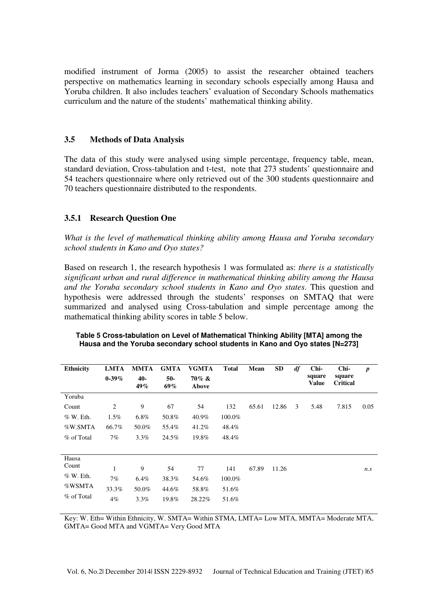modified instrument of Jorma (2005) to assist the researcher obtained teachers perspective on mathematics learning in secondary schools especially among Hausa and Yoruba children. It also includes teachers' evaluation of Secondary Schools mathematics curriculum and the nature of the students' mathematical thinking ability.

# **3.5 Methods of Data Analysis**

The data of this study were analysed using simple percentage, frequency table, mean, standard deviation, Cross-tabulation and t-test, note that 273 students' questionnaire and 54 teachers questionnaire where only retrieved out of the 300 students questionnaire and 70 teachers questionnaire distributed to the respondents.

# **3.5.1 Research Question One**

*What is the level of mathematical thinking ability among Hausa and Yoruba secondary school students in Kano and Oyo states?* 

Based on research 1, the research hypothesis 1 was formulated as: *there is a statistically significant urban and rural difference in mathematical thinking ability among the Hausa and the Yoruba secondary school students in Kano and Oyo states*. This question and hypothesis were addressed through the students' responses on SMTAQ that were summarized and analysed using Cross-tabulation and simple percentage among the mathematical thinking ability scores in table 5 below.

| <b>Ethnicity</b> | <b>LMTA</b> | MMTA       | <b>GMTA</b>  | <b>VGMTA</b>      | <b>Total</b> | Mean  | <b>SD</b> | df | Chi-                   | Chi-                      | $\boldsymbol{p}$ |
|------------------|-------------|------------|--------------|-------------------|--------------|-------|-----------|----|------------------------|---------------------------|------------------|
|                  | $0-39%$     | 40-<br>49% | $50-$<br>69% | $70\%$ &<br>Above |              |       |           |    | square<br><b>Value</b> | square<br><b>Critical</b> |                  |
| Yoruba           |             |            |              |                   |              |       |           |    |                        |                           |                  |
| Count            | 2           | 9          | 67           | 54                | 132          | 65.61 | 12.86     | 3  | 5.48                   | 7.815                     | 0.05             |
| $%$ W. Eth.      | $1.5\%$     | $6.8\%$    | 50.8%        | 40.9%             | 100.0%       |       |           |    |                        |                           |                  |
| %W.SMTA          | 66.7%       | 50.0%      | 55.4%        | 41.2%             | 48.4%        |       |           |    |                        |                           |                  |
| % of Total       | $7\%$       | 3.3%       | 24.5%        | 19.8%             | 48.4%        |       |           |    |                        |                           |                  |
|                  |             |            |              |                   |              |       |           |    |                        |                           |                  |
| Hausa            |             |            |              |                   |              |       |           |    |                        |                           |                  |
| Count            | 1           | 9          | 54           | 77                | 141          | 67.89 | 11.26     |    |                        |                           | n.s              |
| $%$ W. Eth.      | 7%          | $6.4\%$    | 38.3%        | 54.6%             | 100.0%       |       |           |    |                        |                           |                  |
| %WSMTA           | 33.3%       | 50.0%      | 44.6%        | 58.8%             | 51.6%        |       |           |    |                        |                           |                  |
| % of Total       | $4\%$       | $3.3\%$    | 19.8%        | 28.22%            | 51.6%        |       |           |    |                        |                           |                  |

| Table 5 Cross-tabulation on Level of Mathematical Thinking Ability [MTA] among the |
|------------------------------------------------------------------------------------|
| Hausa and the Yoruba secondary school students in Kano and Oyo states [N=273]      |

Key: W. Eth= Within Ethnicity, W. SMTA= Within STMA, LMTA= Low MTA, MMTA= Moderate MTA, GMTA= Good MTA and VGMTA= Very Good MTA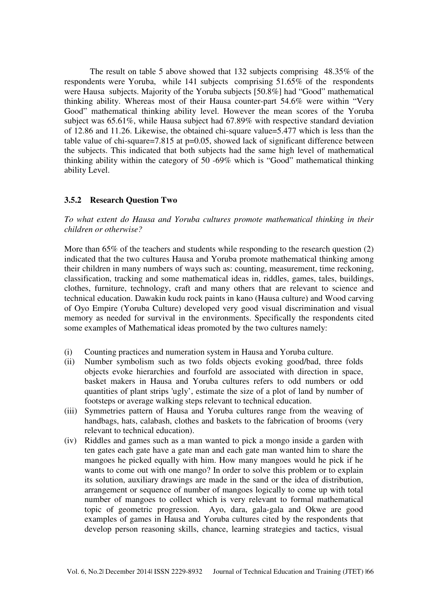The result on table 5 above showed that 132 subjects comprising 48.35% of the respondents were Yoruba, while 141 subjects comprising 51.65% of the respondents were Hausa subjects. Majority of the Yoruba subjects [50.8%] had "Good" mathematical thinking ability. Whereas most of their Hausa counter-part 54.6% were within "Very Good" mathematical thinking ability level. However the mean scores of the Yoruba subject was 65.61%, while Hausa subject had 67.89% with respective standard deviation of 12.86 and 11.26. Likewise, the obtained chi-square value=5.477 which is less than the table value of chi-square=7.815 at  $p=0.05$ , showed lack of significant difference between the subjects. This indicated that both subjects had the same high level of mathematical thinking ability within the category of 50 -69% which is "Good" mathematical thinking ability Level.

## **3.5.2 Research Question Two**

*To what extent do Hausa and Yoruba cultures promote mathematical thinking in their children or otherwise?* 

More than 65% of the teachers and students while responding to the research question (2) indicated that the two cultures Hausa and Yoruba promote mathematical thinking among their children in many numbers of ways such as: counting, measurement, time reckoning, classification, tracking and some mathematical ideas in, riddles, games, tales, buildings, clothes, furniture, technology, craft and many others that are relevant to science and technical education. Dawakin kudu rock paints in kano (Hausa culture) and Wood carving of Oyo Empire (Yoruba Culture) developed very good visual discrimination and visual memory as needed for survival in the environments. Specifically the respondents cited some examples of Mathematical ideas promoted by the two cultures namely:

- (i) Counting practices and numeration system in Hausa and Yoruba culture.
- (ii) Number symbolism such as two folds objects evoking good/bad, three folds objects evoke hierarchies and fourfold are associated with direction in space, basket makers in Hausa and Yoruba cultures refers to odd numbers or odd quantities of plant strips 'ugly', estimate the size of a plot of land by number of footsteps or average walking steps relevant to technical education.
- (iii) Symmetries pattern of Hausa and Yoruba cultures range from the weaving of handbags, hats, calabash, clothes and baskets to the fabrication of brooms (very relevant to technical education).
- (iv) Riddles and games such as a man wanted to pick a mongo inside a garden with ten gates each gate have a gate man and each gate man wanted him to share the mangoes he picked equally with him. How many mangoes would he pick if he wants to come out with one mango? In order to solve this problem or to explain its solution, auxiliary drawings are made in the sand or the idea of distribution, arrangement or sequence of number of mangoes logically to come up with total number of mangoes to collect which is very relevant to formal mathematical topic of geometric progression. Ayo, dara, gala-gala and Okwe are good examples of games in Hausa and Yoruba cultures cited by the respondents that develop person reasoning skills, chance, learning strategies and tactics, visual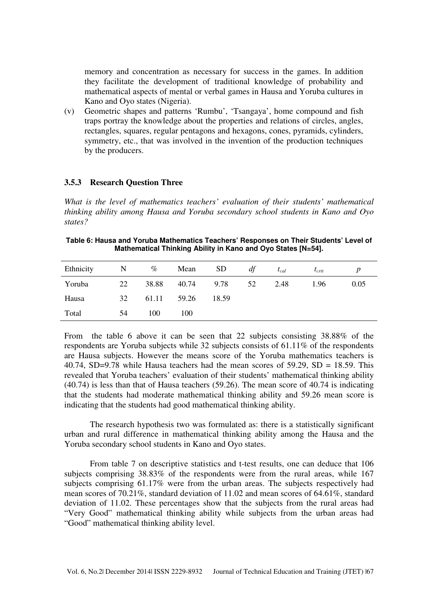memory and concentration as necessary for success in the games. In addition they facilitate the development of traditional knowledge of probability and mathematical aspects of mental or verbal games in Hausa and Yoruba cultures in Kano and Oyo states (Nigeria).

(v) Geometric shapes and patterns 'Rumbu', 'Tsangaya', home compound and fish traps portray the knowledge about the properties and relations of circles, angles, rectangles, squares, regular pentagons and hexagons, cones, pyramids, cylinders, symmetry, etc., that was involved in the invention of the production techniques by the producers.

#### **3.5.3 Research Question Three**

*What is the level of mathematics teachers' evaluation of their students' mathematical thinking ability among Hausa and Yoruba secondary school students in Kano and Oyo states?* 

**Table 6: Hausa and Yoruba Mathematics Teachers' Responses on Their Students' Level of Mathematical Thinking Ability in Kano and Oyo States [N=54].** 

| Ethnicity | N  | $\%$        | Mean        | SD <sub>3</sub> | df | $t_{cal}$ | $t_{crit}$ |      |
|-----------|----|-------------|-------------|-----------------|----|-----------|------------|------|
| Yoruba    | 22 |             | 38.88 40.74 | 9.78            | 52 | 2.48      | 1.96       | 0.05 |
| Hausa     | 32 | 61.11 59.26 |             | 18.59           |    |           |            |      |
| Total     | 54 | 100         | 100         |                 |    |           |            |      |

From the table 6 above it can be seen that 22 subjects consisting 38.88% of the respondents are Yoruba subjects while 32 subjects consists of 61.11% of the respondents are Hausa subjects. However the means score of the Yoruba mathematics teachers is 40.74, SD=9.78 while Hausa teachers had the mean scores of  $59.29$ , SD = 18.59. This revealed that Yoruba teachers' evaluation of their students' mathematical thinking ability (40.74) is less than that of Hausa teachers (59.26). The mean score of 40.74 is indicating that the students had moderate mathematical thinking ability and 59.26 mean score is indicating that the students had good mathematical thinking ability.

The research hypothesis two was formulated as: there is a statistically significant urban and rural difference in mathematical thinking ability among the Hausa and the Yoruba secondary school students in Kano and Oyo states.

From table 7 on descriptive statistics and t-test results, one can deduce that 106 subjects comprising 38.83% of the respondents were from the rural areas, while 167 subjects comprising 61.17% were from the urban areas. The subjects respectively had mean scores of 70.21%, standard deviation of 11.02 and mean scores of 64.61%, standard deviation of 11.02. These percentages show that the subjects from the rural areas had "Very Good" mathematical thinking ability while subjects from the urban areas had "Good" mathematical thinking ability level.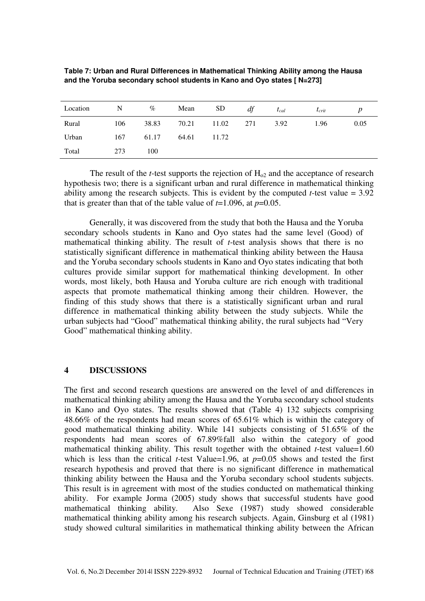| Location | $\mathbf N$ | $\%$  | Mean  | SD              | df | $t_{cal}$ | $I_{crit}$ |      |
|----------|-------------|-------|-------|-----------------|----|-----------|------------|------|
| Rural    | 106         | 38.83 |       | 70.21 11.02 271 |    | 3.92      | 1.96       | 0.05 |
| Urban    | 167         | 61.17 | 64.61 | 11.72           |    |           |            |      |
| Total    | 273         | 100   |       |                 |    |           |            |      |

| Table 7: Urban and Rural Differences in Mathematical Thinking Ability among the Hausa |  |
|---------------------------------------------------------------------------------------|--|
| and the Yoruba secondary school students in Kano and Oyo states [ N=273]              |  |

The result of the *t*-test supports the rejection of  $H_{02}$  and the acceptance of research hypothesis two; there is a significant urban and rural difference in mathematical thinking ability among the research subjects. This is evident by the computed *t*-test value  $= 3.92$ that is greater than that of the table value of  $t=1.096$ , at  $p=0.05$ .

Generally, it was discovered from the study that both the Hausa and the Yoruba secondary schools students in Kano and Oyo states had the same level (Good) of mathematical thinking ability. The result of *t*-test analysis shows that there is no statistically significant difference in mathematical thinking ability between the Hausa and the Yoruba secondary schools students in Kano and Oyo states indicating that both cultures provide similar support for mathematical thinking development. In other words, most likely, both Hausa and Yoruba culture are rich enough with traditional aspects that promote mathematical thinking among their children. However, the finding of this study shows that there is a statistically significant urban and rural difference in mathematical thinking ability between the study subjects. While the urban subjects had "Good" mathematical thinking ability, the rural subjects had "Very Good" mathematical thinking ability.

## **4 DISCUSSIONS**

The first and second research questions are answered on the level of and differences in mathematical thinking ability among the Hausa and the Yoruba secondary school students in Kano and Oyo states. The results showed that (Table 4) 132 subjects comprising 48.66% of the respondents had mean scores of 65.61% which is within the category of good mathematical thinking ability. While 141 subjects consisting of 51.65% of the respondents had mean scores of 67.89%fall also within the category of good mathematical thinking ability. This result together with the obtained *t*-test value=1.60 which is less than the critical *t*-test Value=1.96, at  $p=0.05$  shows and tested the first research hypothesis and proved that there is no significant difference in mathematical thinking ability between the Hausa and the Yoruba secondary school students subjects. This result is in agreement with most of the studies conducted on mathematical thinking ability. For example Jorma (2005) study shows that successful students have good mathematical thinking ability. Also Sexe (1987) study showed considerable mathematical thinking ability among his research subjects. Again, Ginsburg et al (1981) study showed cultural similarities in mathematical thinking ability between the African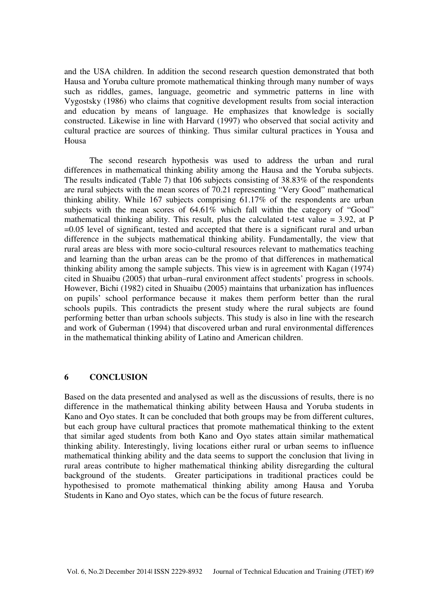and the USA children. In addition the second research question demonstrated that both Hausa and Yoruba culture promote mathematical thinking through many number of ways such as riddles, games, language, geometric and symmetric patterns in line with Vygostsky (1986) who claims that cognitive development results from social interaction and education by means of language. He emphasizes that knowledge is socially constructed. Likewise in line with Harvard (1997) who observed that social activity and cultural practice are sources of thinking. Thus similar cultural practices in Yousa and Housa

 The second research hypothesis was used to address the urban and rural differences in mathematical thinking ability among the Hausa and the Yoruba subjects. The results indicated (Table 7) that 106 subjects consisting of 38.83% of the respondents are rural subjects with the mean scores of 70.21 representing "Very Good" mathematical thinking ability. While 167 subjects comprising 61.17% of the respondents are urban subjects with the mean scores of 64.61% which fall within the category of "Good" mathematical thinking ability. This result, plus the calculated t-test value  $= 3.92$ , at P =0.05 level of significant, tested and accepted that there is a significant rural and urban difference in the subjects mathematical thinking ability. Fundamentally, the view that rural areas are bless with more socio-cultural resources relevant to mathematics teaching and learning than the urban areas can be the promo of that differences in mathematical thinking ability among the sample subjects. This view is in agreement with Kagan (1974) cited in Shuaibu (2005) that urban–rural environment affect students' progress in schools. However, Bichi (1982) cited in Shuaibu (2005) maintains that urbanization has influences on pupils' school performance because it makes them perform better than the rural schools pupils. This contradicts the present study where the rural subjects are found performing better than urban schools subjects. This study is also in line with the research and work of Guberman (1994) that discovered urban and rural environmental differences in the mathematical thinking ability of Latino and American children.

## **6 CONCLUSION**

Based on the data presented and analysed as well as the discussions of results, there is no difference in the mathematical thinking ability between Hausa and Yoruba students in Kano and Oyo states. It can be concluded that both groups may be from different cultures, but each group have cultural practices that promote mathematical thinking to the extent that similar aged students from both Kano and Oyo states attain similar mathematical thinking ability. Interestingly, living locations either rural or urban seems to influence mathematical thinking ability and the data seems to support the conclusion that living in rural areas contribute to higher mathematical thinking ability disregarding the cultural background of the students. Greater participations in traditional practices could be hypothesised to promote mathematical thinking ability among Hausa and Yoruba Students in Kano and Oyo states, which can be the focus of future research.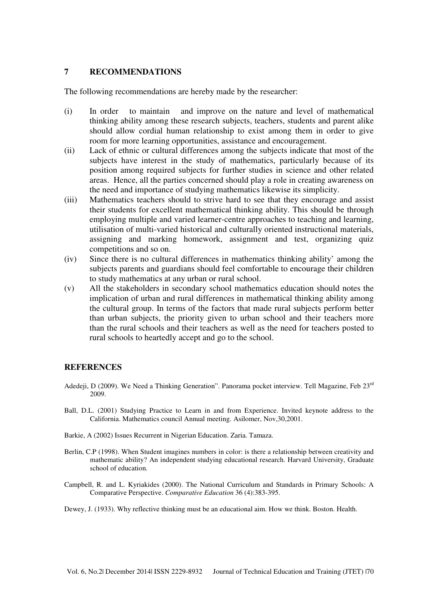#### **7 RECOMMENDATIONS**

The following recommendations are hereby made by the researcher:

- (i) In order to maintain and improve on the nature and level of mathematical thinking ability among these research subjects, teachers, students and parent alike should allow cordial human relationship to exist among them in order to give room for more learning opportunities, assistance and encouragement.
- (ii) Lack of ethnic or cultural differences among the subjects indicate that most of the subjects have interest in the study of mathematics, particularly because of its position among required subjects for further studies in science and other related areas. Hence, all the parties concerned should play a role in creating awareness on the need and importance of studying mathematics likewise its simplicity.
- (iii) Mathematics teachers should to strive hard to see that they encourage and assist their students for excellent mathematical thinking ability. This should be through employing multiple and varied learner-centre approaches to teaching and learning, utilisation of multi-varied historical and culturally oriented instructional materials, assigning and marking homework, assignment and test, organizing quiz competitions and so on.
- (iv) Since there is no cultural differences in mathematics thinking ability' among the subjects parents and guardians should feel comfortable to encourage their children to study mathematics at any urban or rural school.
- (v) All the stakeholders in secondary school mathematics education should notes the implication of urban and rural differences in mathematical thinking ability among the cultural group. In terms of the factors that made rural subjects perform better than urban subjects, the priority given to urban school and their teachers more than the rural schools and their teachers as well as the need for teachers posted to rural schools to heartedly accept and go to the school.

#### **REFERENCES**

- Adedeji, D (2009). We Need a Thinking Generation". Panorama pocket interview. Tell Magazine, Feb 23<sup>rd</sup> 2009.
- Ball, D.L. (2001) Studying Practice to Learn in and from Experience. Invited keynote address to the California. Mathematics council Annual meeting. Asilomer, Nov,30,2001.
- Barkie, A (2002) Issues Recurrent in Nigerian Education. Zaria. Tamaza.
- Berlin, C.P (1998). When Student imagines numbers in color: is there a relationship between creativity and mathematic ability? An independent studying educational research. Harvard University, Graduate school of education.
- Campbell, R. and L. Kyriakides (2000). The National Curriculum and Standards in Primary Schools: A Comparative Perspective. *Comparative Education* 36 (4):383-395.
- Dewey, J. (1933). Why reflective thinking must be an educational aim. How we think. Boston. Health.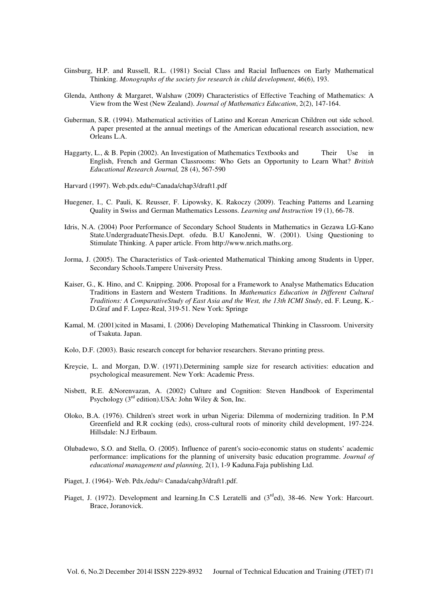- Ginsburg, H.P. and Russell, R.L. (1981) Social Class and Racial Influences on Early Mathematical Thinking. *Monographs of the society for research in child development*, 46(6), 193.
- Glenda, Anthony & Margaret, Walshaw (2009) Characteristics of Effective Teaching of Mathematics: A View from the West (New Zealand). *Journal of Mathematics Education*, 2(2), 147-164.
- Guberman, S.R. (1994). Mathematical activities of Latino and Korean American Children out side school. A paper presented at the annual meetings of the American educational research association, new Orleans L.A.
- Haggarty, L., & B. Pepin (2002). An Investigation of Mathematics Textbooks and Their Use in English, French and German Classrooms: Who Gets an Opportunity to Learn What? *British Educational Research Journal,* 28 (4), 567-590
- Harvard (1997). Web.pdx.edu/≈Canada/chap3/draft1.pdf
- Huegener, I., C. Pauli, K. Reusser, F. Lipowsky, K. Rakoczy (2009). Teaching Patterns and Learning Quality in Swiss and German Mathematics Lessons. *Learning and Instruction* 19 (1), 66-78.
- Idris, N.A. (2004) Poor Performance of Secondary School Students in Mathematics in Gezawa LG-Kano State.UndergraduateThesis.Dept. ofedu. B.U KanoJenni, W. (2001). Using Questioning to Stimulate Thinking. A paper article. From http://www.nrich.maths.org.
- Jorma, J. (2005). The Characteristics of Task-oriented Mathematical Thinking among Students in Upper, Secondary Schools.Tampere University Press.
- Kaiser, G., K. Hino, and C. Knipping. 2006. Proposal for a Framework to Analyse Mathematics Education Traditions in Eastern and Western Traditions. In *Mathematics Education in Different Cultural Traditions: A ComparativeStudy of East Asia and the West, the 13th ICMI Study*, ed. F. Leung, K.- D.Graf and F. Lopez-Real, 319-51. New York: Springe
- Kamal, M. (2001)cited in Masami, I. (2006) Developing Mathematical Thinking in Classroom. University of Tsakuta. Japan.
- Kolo, D.F. (2003). Basic research concept for behavior researchers. Stevano printing press.
- Kreycie, L. and Morgan, D.W. (1971).Determining sample size for research activities: education and psychological measurement. New York: Academic Press.
- Nisbett, R.E. &Norenvazan, A. (2002) Culture and Cognition: Steven Handbook of Experimental Psychology  $(3<sup>rd</sup>$  edition).USA: John Wiley & Son, Inc.
- Oloko, B.A. (1976). Children's street work in urban Nigeria: Dilemma of modernizing tradition. In P.M Greenfield and R.R cocking (eds), cross-cultural roots of minority child development, 197-224. Hillsdale: N.J Erlbaum.
- Olubadewo, S.O. and Stella, O. (2005). Influence of parent's socio-economic status on students' academic performance: implications for the planning of university basic education programme. *Journal of educational management and planning,* 2(1), 1-9 Kaduna.Faja publishing Ltd.
- Piaget, J. (1964)- Web. Pdx./edu/≈ Canada/cahp3/draft1.pdf.
- Piaget, J. (1972). Development and learning.In C.S Leratelli and  $(3<sup>rd</sup>ed)$ , 38-46. New York: Harcourt. Brace, Joranovick.